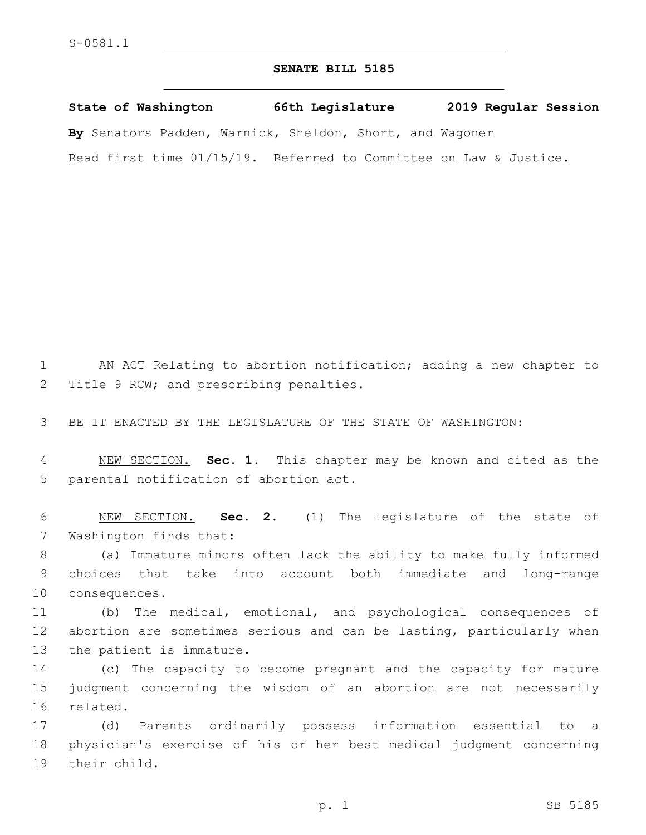## **SENATE BILL 5185**

**State of Washington 66th Legislature 2019 Regular Session By** Senators Padden, Warnick, Sheldon, Short, and Wagoner Read first time 01/15/19. Referred to Committee on Law & Justice.

1 AN ACT Relating to abortion notification; adding a new chapter to 2 Title 9 RCW; and prescribing penalties.

3 BE IT ENACTED BY THE LEGISLATURE OF THE STATE OF WASHINGTON:

4 NEW SECTION. **Sec. 1.** This chapter may be known and cited as the 5 parental notification of abortion act.

6 NEW SECTION. **Sec. 2.** (1) The legislature of the state of 7 Washington finds that:

8 (a) Immature minors often lack the ability to make fully informed 9 choices that take into account both immediate and long-range 10 consequences.

11 (b) The medical, emotional, and psychological consequences of 12 abortion are sometimes serious and can be lasting, particularly when 13 the patient is immature.

14 (c) The capacity to become pregnant and the capacity for mature 15 judgment concerning the wisdom of an abortion are not necessarily 16 related.

17 (d) Parents ordinarily possess information essential to a 18 physician's exercise of his or her best medical judgment concerning 19 their child.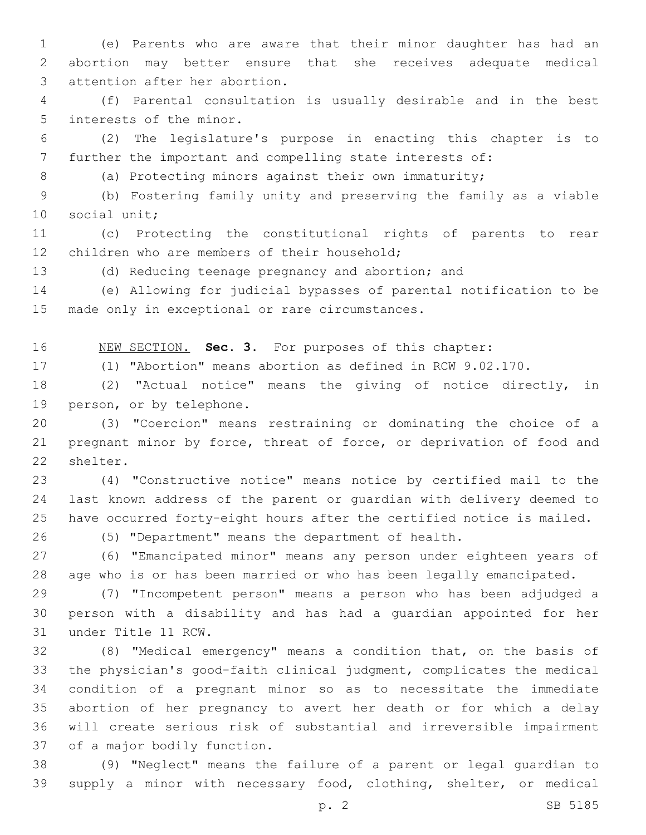(e) Parents who are aware that their minor daughter has had an abortion may better ensure that she receives adequate medical 3 attention after her abortion.

 (f) Parental consultation is usually desirable and in the best 5 interests of the minor.

 (2) The legislature's purpose in enacting this chapter is to further the important and compelling state interests of:

8 (a) Protecting minors against their own immaturity;

 (b) Fostering family unity and preserving the family as a viable 10 social unit;

 (c) Protecting the constitutional rights of parents to rear 12 children who are members of their household;

(d) Reducing teenage pregnancy and abortion; and

 (e) Allowing for judicial bypasses of parental notification to be 15 made only in exceptional or rare circumstances.

NEW SECTION. **Sec. 3.** For purposes of this chapter:

(1) "Abortion" means abortion as defined in RCW 9.02.170.

 (2) "Actual notice" means the giving of notice directly, in 19 person, or by telephone.

 (3) "Coercion" means restraining or dominating the choice of a pregnant minor by force, threat of force, or deprivation of food and 22 shelter.

 (4) "Constructive notice" means notice by certified mail to the last known address of the parent or guardian with delivery deemed to have occurred forty-eight hours after the certified notice is mailed.

(5) "Department" means the department of health.

 (6) "Emancipated minor" means any person under eighteen years of age who is or has been married or who has been legally emancipated.

 (7) "Incompetent person" means a person who has been adjudged a person with a disability and has had a guardian appointed for her 31 under Title 11 RCW.

 (8) "Medical emergency" means a condition that, on the basis of the physician's good-faith clinical judgment, complicates the medical condition of a pregnant minor so as to necessitate the immediate abortion of her pregnancy to avert her death or for which a delay will create serious risk of substantial and irreversible impairment 37 of a major bodily function.

 (9) "Neglect" means the failure of a parent or legal guardian to supply a minor with necessary food, clothing, shelter, or medical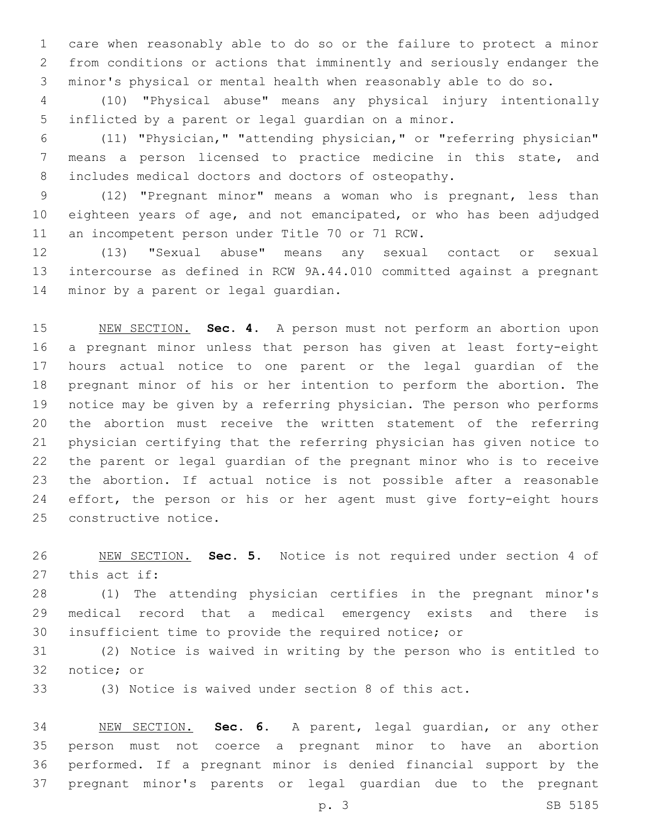care when reasonably able to do so or the failure to protect a minor from conditions or actions that imminently and seriously endanger the minor's physical or mental health when reasonably able to do so.

 (10) "Physical abuse" means any physical injury intentionally inflicted by a parent or legal guardian on a minor.

 (11) "Physician," "attending physician," or "referring physician" means a person licensed to practice medicine in this state, and includes medical doctors and doctors of osteopathy.

 (12) "Pregnant minor" means a woman who is pregnant, less than eighteen years of age, and not emancipated, or who has been adjudged 11 an incompetent person under Title 70 or 71 RCW.

 (13) "Sexual abuse" means any sexual contact or sexual intercourse as defined in RCW 9A.44.010 committed against a pregnant 14 minor by a parent or legal guardian.

 NEW SECTION. **Sec. 4.** A person must not perform an abortion upon a pregnant minor unless that person has given at least forty-eight hours actual notice to one parent or the legal guardian of the pregnant minor of his or her intention to perform the abortion. The notice may be given by a referring physician. The person who performs the abortion must receive the written statement of the referring physician certifying that the referring physician has given notice to the parent or legal guardian of the pregnant minor who is to receive the abortion. If actual notice is not possible after a reasonable 24 effort, the person or his or her agent must give forty-eight hours constructive notice.

 NEW SECTION. **Sec. 5.** Notice is not required under section 4 of this act if:

 (1) The attending physician certifies in the pregnant minor's medical record that a medical emergency exists and there is insufficient time to provide the required notice; or

 (2) Notice is waived in writing by the person who is entitled to 32 notice; or

(3) Notice is waived under section 8 of this act.

 NEW SECTION. **Sec. 6.** A parent, legal guardian, or any other person must not coerce a pregnant minor to have an abortion performed. If a pregnant minor is denied financial support by the pregnant minor's parents or legal guardian due to the pregnant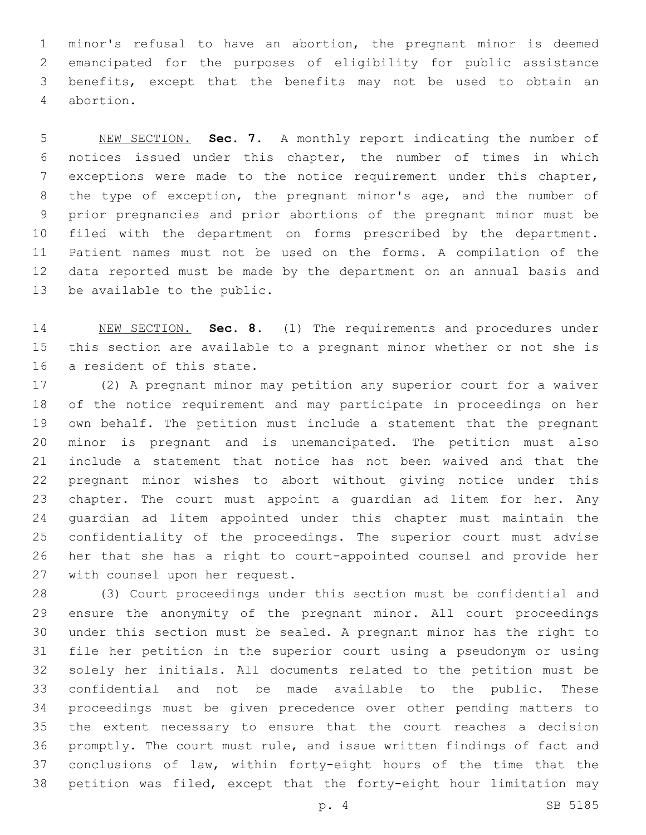minor's refusal to have an abortion, the pregnant minor is deemed emancipated for the purposes of eligibility for public assistance benefits, except that the benefits may not be used to obtain an abortion.4

 NEW SECTION. **Sec. 7.** A monthly report indicating the number of notices issued under this chapter, the number of times in which exceptions were made to the notice requirement under this chapter, the type of exception, the pregnant minor's age, and the number of prior pregnancies and prior abortions of the pregnant minor must be filed with the department on forms prescribed by the department. Patient names must not be used on the forms. A compilation of the data reported must be made by the department on an annual basis and be available to the public.

 NEW SECTION. **Sec. 8.** (1) The requirements and procedures under this section are available to a pregnant minor whether or not she is a resident of this state.

 (2) A pregnant minor may petition any superior court for a waiver of the notice requirement and may participate in proceedings on her own behalf. The petition must include a statement that the pregnant minor is pregnant and is unemancipated. The petition must also include a statement that notice has not been waived and that the pregnant minor wishes to abort without giving notice under this 23 chapter. The court must appoint a quardian ad litem for her. Any guardian ad litem appointed under this chapter must maintain the confidentiality of the proceedings. The superior court must advise her that she has a right to court-appointed counsel and provide her 27 with counsel upon her request.

 (3) Court proceedings under this section must be confidential and ensure the anonymity of the pregnant minor. All court proceedings under this section must be sealed. A pregnant minor has the right to file her petition in the superior court using a pseudonym or using solely her initials. All documents related to the petition must be confidential and not be made available to the public. These proceedings must be given precedence over other pending matters to the extent necessary to ensure that the court reaches a decision promptly. The court must rule, and issue written findings of fact and conclusions of law, within forty-eight hours of the time that the petition was filed, except that the forty-eight hour limitation may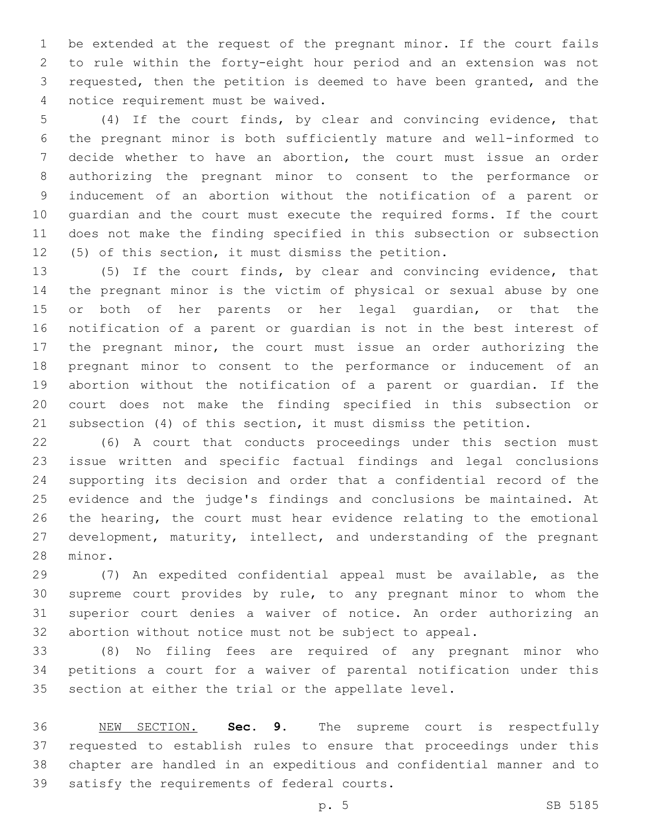be extended at the request of the pregnant minor. If the court fails to rule within the forty-eight hour period and an extension was not requested, then the petition is deemed to have been granted, and the 4 notice requirement must be waived.

 (4) If the court finds, by clear and convincing evidence, that the pregnant minor is both sufficiently mature and well-informed to decide whether to have an abortion, the court must issue an order authorizing the pregnant minor to consent to the performance or inducement of an abortion without the notification of a parent or guardian and the court must execute the required forms. If the court does not make the finding specified in this subsection or subsection (5) of this section, it must dismiss the petition.

 (5) If the court finds, by clear and convincing evidence, that the pregnant minor is the victim of physical or sexual abuse by one 15 or both of her parents or her legal guardian, or that the notification of a parent or guardian is not in the best interest of the pregnant minor, the court must issue an order authorizing the pregnant minor to consent to the performance or inducement of an abortion without the notification of a parent or guardian. If the court does not make the finding specified in this subsection or subsection (4) of this section, it must dismiss the petition.

 (6) A court that conducts proceedings under this section must issue written and specific factual findings and legal conclusions supporting its decision and order that a confidential record of the evidence and the judge's findings and conclusions be maintained. At the hearing, the court must hear evidence relating to the emotional development, maturity, intellect, and understanding of the pregnant 28 minor.

 (7) An expedited confidential appeal must be available, as the supreme court provides by rule, to any pregnant minor to whom the superior court denies a waiver of notice. An order authorizing an abortion without notice must not be subject to appeal.

 (8) No filing fees are required of any pregnant minor who petitions a court for a waiver of parental notification under this section at either the trial or the appellate level.

 NEW SECTION. **Sec. 9.** The supreme court is respectfully requested to establish rules to ensure that proceedings under this chapter are handled in an expeditious and confidential manner and to satisfy the requirements of federal courts.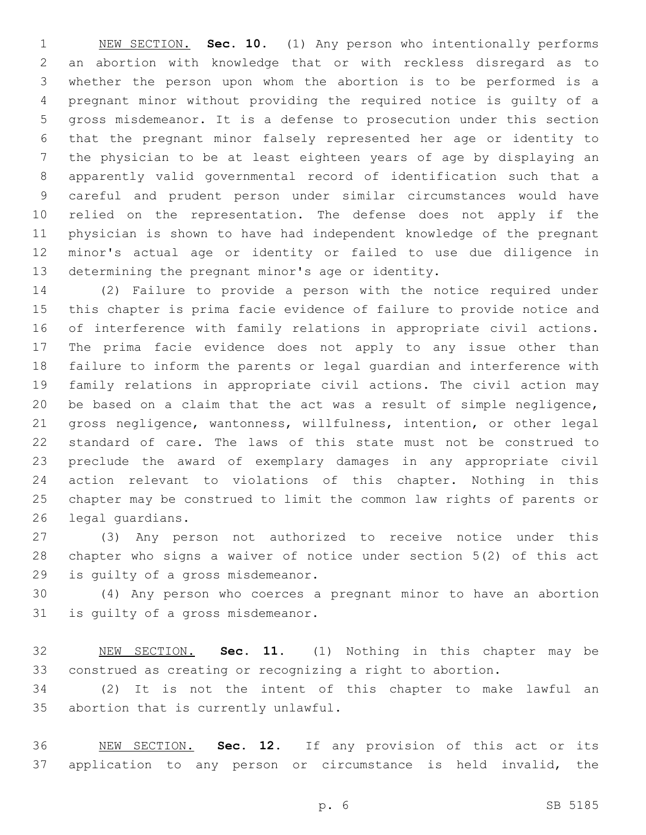NEW SECTION. **Sec. 10.** (1) Any person who intentionally performs an abortion with knowledge that or with reckless disregard as to whether the person upon whom the abortion is to be performed is a pregnant minor without providing the required notice is guilty of a gross misdemeanor. It is a defense to prosecution under this section that the pregnant minor falsely represented her age or identity to the physician to be at least eighteen years of age by displaying an apparently valid governmental record of identification such that a careful and prudent person under similar circumstances would have relied on the representation. The defense does not apply if the physician is shown to have had independent knowledge of the pregnant minor's actual age or identity or failed to use due diligence in determining the pregnant minor's age or identity.

 (2) Failure to provide a person with the notice required under this chapter is prima facie evidence of failure to provide notice and of interference with family relations in appropriate civil actions. The prima facie evidence does not apply to any issue other than failure to inform the parents or legal guardian and interference with family relations in appropriate civil actions. The civil action may be based on a claim that the act was a result of simple negligence, gross negligence, wantonness, willfulness, intention, or other legal standard of care. The laws of this state must not be construed to preclude the award of exemplary damages in any appropriate civil action relevant to violations of this chapter. Nothing in this chapter may be construed to limit the common law rights of parents or 26 legal quardians.

 (3) Any person not authorized to receive notice under this chapter who signs a waiver of notice under section 5(2) of this act 29 is guilty of a gross misdemeanor.

 (4) Any person who coerces a pregnant minor to have an abortion 31 is quilty of a gross misdemeanor.

 NEW SECTION. **Sec. 11.** (1) Nothing in this chapter may be construed as creating or recognizing a right to abortion.

 (2) It is not the intent of this chapter to make lawful an 35 abortion that is currently unlawful.

 NEW SECTION. **Sec. 12.** If any provision of this act or its application to any person or circumstance is held invalid, the